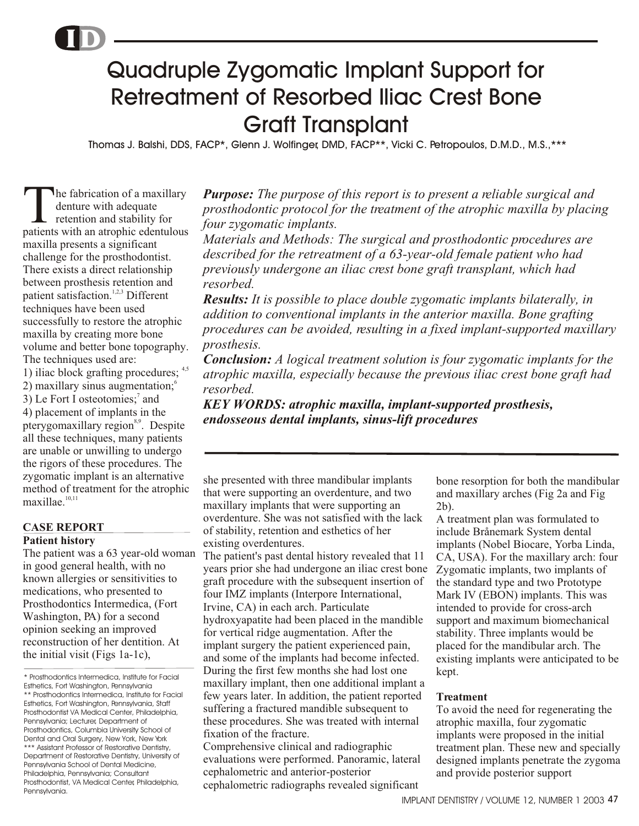# **I D**

# Quadruple Zygomatic Implant Support for Retreatment of Resorbed Iliac Crest Bone Graft Transplant

Thomas J. Balshi, DDS, FACP\*, Glenn J. Wolfinger, DMD, FACP\*\*, Vicki C. Petropoulos, D.M.D., M.S.,\*\*\*

The fabrication of a maxillary<br>
denture with adequate<br>
retention and stability for<br>
patients with an atrophic edentulous retention and stability for maxilla presents a significant challenge for the prosthodontist. There exists a direct relationship between prosthesis retention and patient satisfaction. $1,2,3$  Different techniques have been used successfully to restore the atrophic maxilla by creating more bone volume and better bone topography. The techniques used are: 1) iliac block grafting procedures; 4,5 2) maxillary sinus augmentation;<sup>6</sup> 3) Le Fort I osteotomies;<sup>7</sup> and 4) placement of implants in the pterygomaxillary region<sup>8,9</sup>. Despite all these techniques, many patients are unable or unwilling to undergo the rigors of these procedures. The

zygomatic implant is an alternative method of treatment for the atrophic maxillae.<sup>10,11</sup>

# **CASE REPORT Patient history**

The patient was a 63 year-old woman in good general health, with no known allergies or sensitivities to medications, who presented to Prosthodontics Intermedica, (Fort Washington, PA) for a second opinion seeking an improved reconstruction of her dentition. At the initial visit (Figs 1a-1c),

*Purpose: The purpose of this report is to present a reliable surgical and prosthodontic protocol for the treatment of the atrophic maxilla by placing four zygomatic implants.*

*Materials and Methods: The surgical and prosthodontic procedures are described for the retreatment of a 63-year-old female patient who had previously undergone an iliac crest bone graft transplant, which had resorbed.*

*Results: It is possible to place double zygomatic implants bilaterally, in addition to conventional implants in the anterior maxilla. Bone grafting procedures can be avoided, resulting in a fixed implant-supported maxillary prosthesis.*

*Conclusion: A logical treatment solution is four zygomatic implants for the atrophic maxilla, especially because the previous iliac crest bone graft had resorbed.*

*KEY WORDS: atrophic maxilla, implant-supported prosthesis, endosseous dental implants, sinus-lift procedures*

she presented with three mandibular implants that were supporting an overdenture, and two maxillary implants that were supporting an overdenture. She was not satisfied with the lack of stability, retention and esthetics of her existing overdentures.

The patient's past dental history revealed that 11 years prior she had undergone an iliac crest bone graft procedure with the subsequent insertion of four IMZ implants (Interpore International, Irvine, CA) in each arch. Particulate hydroxyapatite had been placed in the mandible for vertical ridge augmentation. After the implant surgery the patient experienced pain, and some of the implants had become infected. During the first few months she had lost one maxillary implant, then one additional implant a few years later. In addition, the patient reported suffering a fractured mandible subsequent to these procedures. She was treated with internal fixation of the fracture.

Comprehensive clinical and radiographic evaluations were performed. Panoramic, lateral cephalometric and anterior-posterior cephalometric radiographs revealed significant

bone resorption for both the mandibular and maxillary arches (Fig 2a and Fig 2b).

A treatment plan was formulated to include Brånemark System dental implants (Nobel Biocare, Yorba Linda, CA, USA). For the maxillary arch: four Zygomatic implants, two implants of the standard type and two Prototype Mark IV (EBON) implants. This was intended to provide for cross-arch support and maximum biomechanical stability. Three implants would be placed for the mandibular arch. The existing implants were anticipated to be kept.

## **Treatment**

To avoid the need for regenerating the atrophic maxilla, four zygomatic implants were proposed in the initial treatment plan. These new and specially designed implants penetrate the zygoma and provide posterior support

<sup>\*</sup> Prosthodontics Intermedica, Institute for Facial Esthetics, Fort Washington, Pennsylvania \*\* Prosthodontics Intermedica, Institute for Facial Esthetics, Fort Washington, Pennsylvania, Staff Prosthodontist VA Medical Center, Philadelphia, Pennsylvania; Lecturer, Department of Prosthodontics, Columbia University School of Dental and Oral Surgery, New York, New York \*\*\* Assistant Professor of Restorative Dentistry, Department of Restorative Dentistry, University of Pennsylvania School of Dental Medicine, Philadelphia, Pennsylvania; Consultant Prosthodontist, VA Medical Center, Philadelphia, Pennsylvania.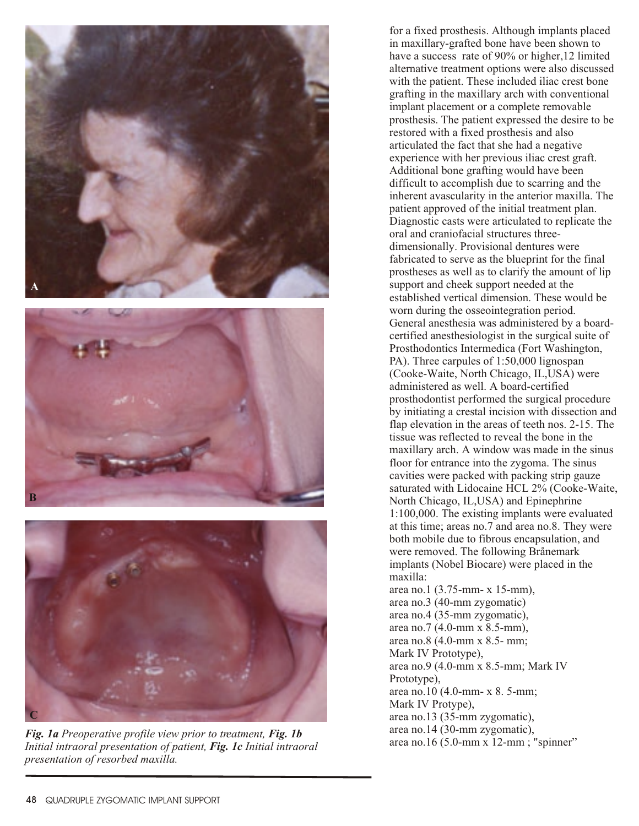





*Fig. 1a Preoperative profile view prior to treatment, Fig. 1b Initial intraoral presentation of patient, Fig. 1c Initial intraoral presentation of resorbed maxilla.*

for a fixed prosthesis. Although implants placed in maxillary-grafted bone have been shown to have a success rate of 90% or higher,12 limited alternative treatment options were also discussed with the patient. These included iliac crest bone grafting in the maxillary arch with conventional implant placement or a complete removable prosthesis. The patient expressed the desire to be restored with a fixed prosthesis and also articulated the fact that she had a negative experience with her previous iliac crest graft. Additional bone grafting would have been difficult to accomplish due to scarring and the inherent avascularity in the anterior maxilla. The patient approved of the initial treatment plan. Diagnostic casts were articulated to replicate the oral and craniofacial structures threedimensionally. Provisional dentures were fabricated to serve as the blueprint for the final prostheses as well as to clarify the amount of lip support and cheek support needed at the established vertical dimension. These would be worn during the osseointegration period. General anesthesia was administered by a boardcertified anesthesiologist in the surgical suite of Prosthodontics Intermedica (Fort Washington, PA). Three carpules of 1:50,000 lignospan (Cooke-Waite, North Chicago, IL,USA) were administered as well. A board-certified prosthodontist performed the surgical procedure by initiating a crestal incision with dissection and flap elevation in the areas of teeth nos. 2-15. The tissue was reflected to reveal the bone in the maxillary arch. A window was made in the sinus floor for entrance into the zygoma. The sinus cavities were packed with packing strip gauze saturated with Lidocaine HCL 2% (Cooke-Waite, North Chicago, IL,USA) and Epinephrine 1:100,000. The existing implants were evaluated at this time; areas no.7 and area no.8. They were both mobile due to fibrous encapsulation, and were removed. The following Brånemark implants (Nobel Biocare) were placed in the maxilla: area no.1 (3.75-mm- x 15-mm), area no.3 (40-mm zygomatic) area no.4 (35-mm zygomatic), area no.7 (4.0-mm x 8.5-mm), area no.8 (4.0-mm x 8.5- mm;

Mark IV Prototype),

Mark IV Protype),

Prototype),

area no.9 (4.0-mm x 8.5-mm; Mark IV

area no.16 (5.0-mm x 12-mm ; "spinner"

area no.10 (4.0-mm- x 8. 5-mm;

area no.13 (35-mm zygomatic), area no.14 (30-mm zygomatic),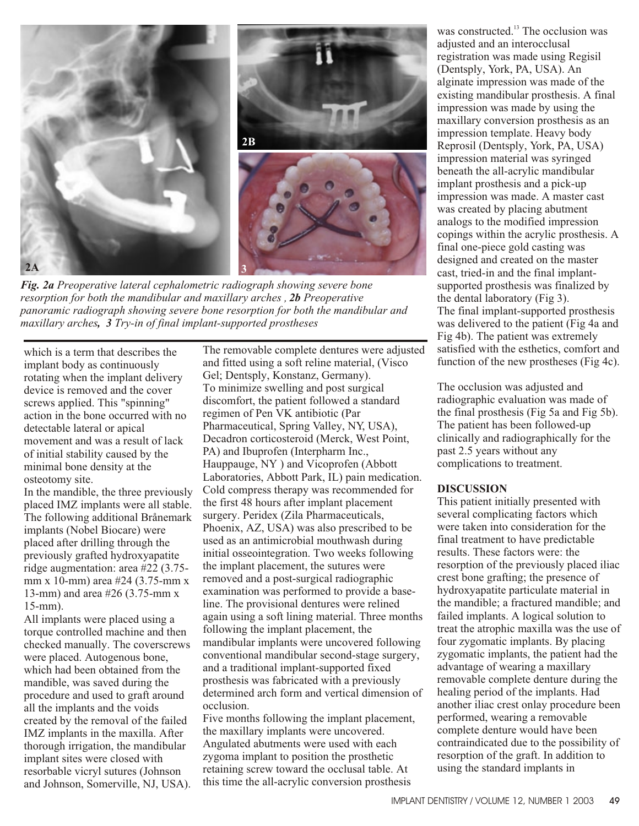

*Fig. 2a Preoperative lateral cephalometric radiograph showing severe bone resorption for both the mandibular and maxillary arches , 2b Preoperative panoramic radiograph showing severe bone resorption for both the mandibular and maxillary arches, 3 Try-in of final implant-supported prostheses*

which is a term that describes the implant body as continuously rotating when the implant delivery device is removed and the cover screws applied. This "spinning" action in the bone occurred with no detectable lateral or apical movement and was a result of lack of initial stability caused by the minimal bone density at the osteotomy site.

In the mandible, the three previously placed IMZ implants were all stable. The following additional Brånemark implants (Nobel Biocare) were placed after drilling through the previously grafted hydroxyapatite ridge augmentation: area #22 (3.75 mm x 10-mm) area #24 (3.75-mm x 13-mm) and area #26 (3.75-mm x 15-mm).

All implants were placed using a torque controlled machine and then checked manually. The coverscrews were placed. Autogenous bone, which had been obtained from the mandible, was saved during the procedure and used to graft around all the implants and the voids created by the removal of the failed IMZ implants in the maxilla. After thorough irrigation, the mandibular implant sites were closed with resorbable vicryl sutures (Johnson and Johnson, Somerville, NJ, USA).

The removable complete dentures were adjusted and fitted using a soft reline material, (Visco Gel; Dentsply, Konstanz, Germany). To minimize swelling and post surgical discomfort, the patient followed a standard regimen of Pen VK antibiotic (Par Pharmaceutical, Spring Valley, NY, USA), Decadron corticosteroid (Merck, West Point, PA) and Ibuprofen (Interpharm Inc., Hauppauge, NY ) and Vicoprofen (Abbott Laboratories, Abbott Park, IL) pain medication. Cold compress therapy was recommended for the first 48 hours after implant placement surgery. Peridex (Zila Pharmaceuticals, Phoenix, AZ, USA) was also prescribed to be used as an antimicrobial mouthwash during initial osseointegration. Two weeks following the implant placement, the sutures were removed and a post-surgical radiographic examination was performed to provide a baseline. The provisional dentures were relined again using a soft lining material. Three months following the implant placement, the mandibular implants were uncovered following conventional mandibular second-stage surgery, and a traditional implant-supported fixed prosthesis was fabricated with a previously determined arch form and vertical dimension of occlusion.

Five months following the implant placement, the maxillary implants were uncovered. Angulated abutments were used with each zygoma implant to position the prosthetic retaining screw toward the occlusal table. At this time the all-acrylic conversion prosthesis

was constructed. $13$  The occlusion was adjusted and an interocclusal registration was made using Regisil (Dentsply, York, PA, USA). An alginate impression was made of the existing mandibular prosthesis. A final impression was made by using the maxillary conversion prosthesis as an impression template. Heavy body Reprosil (Dentsply, York, PA, USA) impression material was syringed beneath the all-acrylic mandibular implant prosthesis and a pick-up impression was made. A master cast was created by placing abutment analogs to the modified impression copings within the acrylic prosthesis. A final one-piece gold casting was designed and created on the master cast, tried-in and the final implantsupported prosthesis was finalized by the dental laboratory (Fig 3). The final implant-supported prosthesis was delivered to the patient (Fig 4a and Fig 4b). The patient was extremely satisfied with the esthetics, comfort and function of the new prostheses (Fig 4c).

The occlusion was adjusted and radiographic evaluation was made of the final prosthesis (Fig 5a and Fig 5b). The patient has been followed-up clinically and radiographically for the past 2.5 years without any complications to treatment.

#### **DISCUSSION**

This patient initially presented with several complicating factors which were taken into consideration for the final treatment to have predictable results. These factors were: the resorption of the previously placed iliac crest bone grafting; the presence of hydroxyapatite particulate material in the mandible; a fractured mandible; and failed implants. A logical solution to treat the atrophic maxilla was the use of four zygomatic implants. By placing zygomatic implants, the patient had the advantage of wearing a maxillary removable complete denture during the healing period of the implants. Had another iliac crest onlay procedure been performed, wearing a removable complete denture would have been contraindicated due to the possibility of resorption of the graft. In addition to using the standard implants in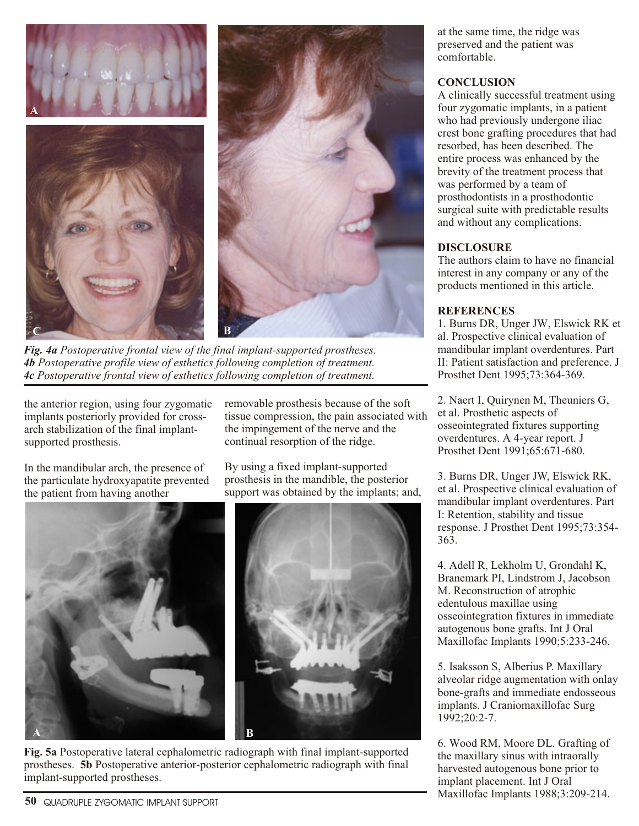

*Fig. 4a Postoperative frontal view of the final implant-supported prostheses. 4b Postoperative profile view of esthetics following completion of treatment. 4c Postoperative frontal view of esthetics following completion of treatment.*

the anterior region, using four zygomatic implants posteriorly provided for crossarch stabilization of the final implantsupported prosthesis.

In the mandibular arch, the presence of the particulate hydroxyapatite prevented the patient from having another



removable prosthesis because of the soft tissue compression, the pain associated with the impingement of the nerve and the continual resorption of the ridge.

By using a fixed implant-supported prosthesis in the mandible, the posterior support was obtained by the implants; and,



**Fig. 5a** Postoperative lateral cephalometric radiograph with final implant-supported prostheses. **5b** Postoperative anterior-posterior cephalometric radiograph with final implant-supported prostheses.

at the same time, the ridge was preserved and the patient was comfortable.

# **CONCLUSION**

A clinically successful treatment using four zygomatic implants, in a patient who had previously undergone iliac crest bone grafting procedures that had resorbed, has been described. The entire process was enhanced by the brevity of the treatment process that was performed by a team of prosthodontists in a prosthodontic surgical suite with predictable results and without any complications.

# **DISCLOSURE**

The authors claim to have no financial interest in any company or any of the products mentioned in this article.

## **REFERENCES**

1. Burns DR, Unger JW, Elswick RK et al. Prospective clinical evaluation of mandibular implant overdentures. Part II: Patient satisfaction and preference. J Prosthet Dent 1995;73:364-369.

2. Naert I, Quirynen M, Theuniers G, et al. Prosthetic aspects of osseointegrated fixtures supporting overdentures. A 4-year report. J Prosthet Dent 1991;65:671-680.

3. Burns DR, Unger JW, Elswick RK, et al. Prospective clinical evaluation of mandibular implant overdentures. Part I: Retention, stability and tissue response. J Prosthet Dent 1995;73:354- 363.

4. Adell R, Lekholm U, Grondahl K, Branemark PI, Lindstrom J, Jacobson M. Reconstruction of atrophic edentulous maxillae using osseointegration fixtures in immediate autogenous bone grafts. Int J Oral Maxillofac Implants 1990;5:233-246.

5. Isaksson S, Alberius P. Maxillary alveolar ridge augmentation with onlay bone-grafts and immediate endosseous implants. J Craniomaxillofac Surg 1992;20:2-7.

6. Wood RM, Moore DL. Grafting of the maxillary sinus with intraorally harvested autogenous bone prior to implant placement. Int J Oral<br>Maxillofac Implants 1988;3:209-214.